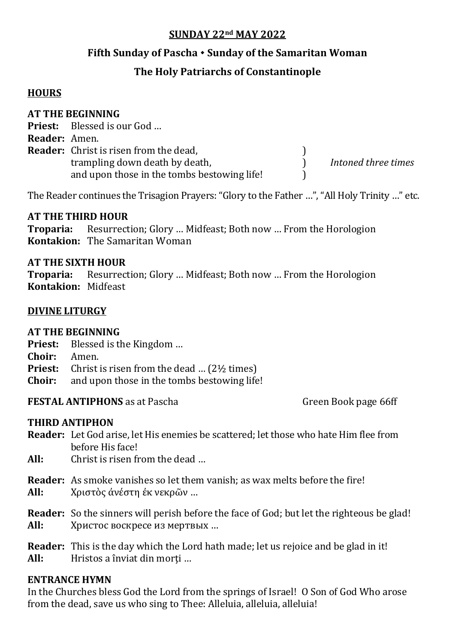# **SUNDAY 22nd MAY 2022**

# **Fifth Sunday of Pascha Sunday of the Samaritan Woman**

# **The Holy Patriarchs of Constantinople**

# **HOURS**

# **AT THE BEGINNING**

|               | <b>Priest:</b> Blessed is our God             |                     |
|---------------|-----------------------------------------------|---------------------|
| Reader: Amen. |                                               |                     |
|               | <b>Reader:</b> Christ is risen from the dead, |                     |
|               | trampling down death by death,                | Intoned three times |
|               | and upon those in the tombs bestowing life!   |                     |

The Reader continues the Trisagion Prayers: "Glory to the Father …", "All Holy Trinity …" etc.

# **AT THE THIRD HOUR**

**Troparia:** Resurrection; Glory … Midfeast; Both now … From the Horologion **Kontakion:** The Samaritan Woman

### **AT THE SIXTH HOUR**

**Troparia:** Resurrection; Glory … Midfeast; Both now … From the Horologion **Kontakion:** Midfeast

# **DIVINE LITURGY**

# **AT THE BEGINNING**

- **Priest:** Blessed is the Kingdom …
- **Choir:** Amen.
- **Priest:** Christ is risen from the dead ... (2<sup>1</sup>/<sub>2</sub> times)
- **Choir:** and upon those in the tombs bestowing life!

# **FESTAL ANTIPHONS** as at Pascha Green Book page 66ff

# **THIRD ANTIPHON**

- **Reader:** Let God arise, let His enemies be scattered; let those who hate Him flee from before His face!
- **All:** Christ is risen from the dead …
- **Reader:** As smoke vanishes so let them vanish; as wax melts before the fire!
- **All:** Χριστὸς ἀνέστη ἐκ νεκρῶν …
- **Reader:** So the sinners will perish before the face of God; but let the righteous be glad! **All:** Христос воскресе из мертвых …
- **Reader:** This is the day which the Lord hath made; let us rejoice and be glad in it! **All:** Hristos a înviat din morţi …

# **ENTRANCE HYMN**

In the Churches bless God the Lord from the springs of Israel! O Son of God Who arose from the dead, save us who sing to Thee: Alleluia, alleluia, alleluia!